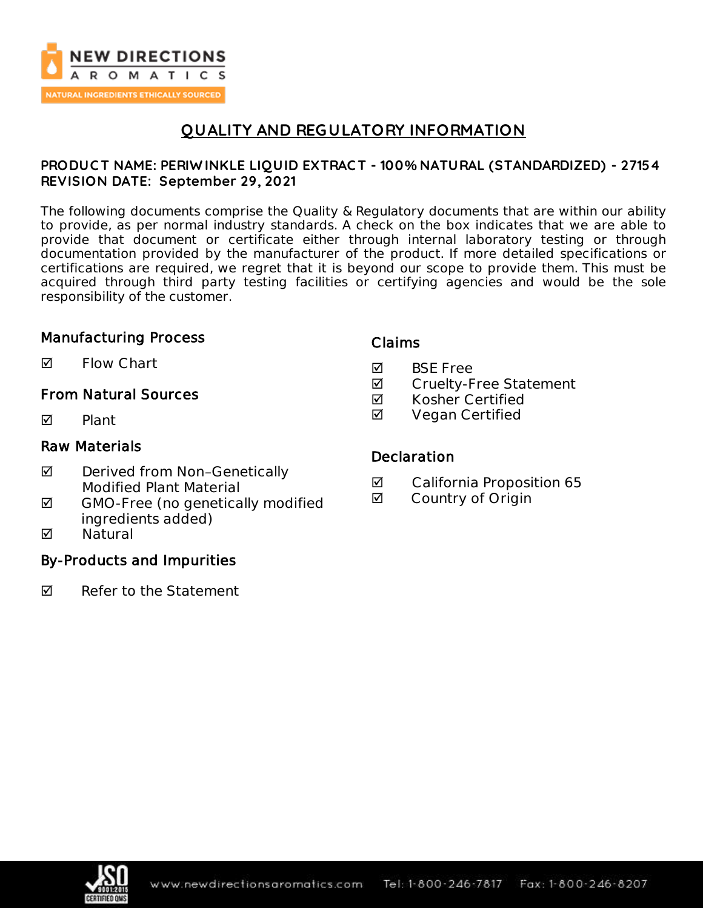

# **QUALITY AND REGULATORY INFORMATION**

### **PRODUC T NAME: PERIW INKLE LIQUID EXTRAC T - 100% NATURAL (STANDARDIZED) - 27154 REVISION DATE: September 29, 2021**

The following documents comprise the Quality & Regulatory documents that are within our ability to provide, as per normal industry standards. A check on the box indicates that we are able to provide that document or certificate either through internal laboratory testing or through documentation provided by the manufacturer of the product. If more detailed specifications or certifications are required, we regret that it is beyond our scope to provide them. This must be acquired through third party testing facilities or certifying agencies and would be the sole responsibility of the customer.

### Manufacturing Process

 $\blacksquare$  Flow Chart

## From Natural Sources

 $\nabla$  Plant

### Raw Materials

- ◘ Derived from Non-Genetically Modified Plant Material
- $\boxtimes$  GMO-Free (no genetically modified ingredients added)
- **M** Natural

## By-Products and Impurities

 $\nabla$  Refer to the Statement

### Claims

- **M** BSF Free
- **Ø** Cruelty-Free Statement
- $\boxtimes$  Kosher Certified
- **Ø** Vegan Certified

### **Declaration**

- California Proposition 65
- **Ø** Country of Origin

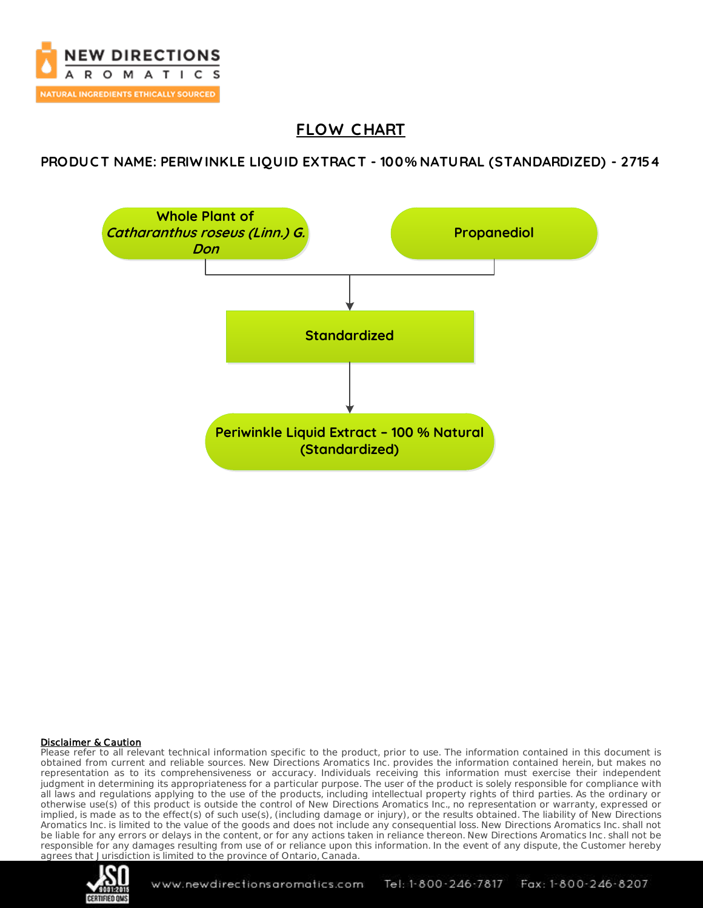

# **FLOW C HART**

## **PRODUC T NAME: PERIW INKLE LIQUID EXTRAC T - 100% NATURAL (STANDARDIZED) - 27154**



### Disclaimer & Caution

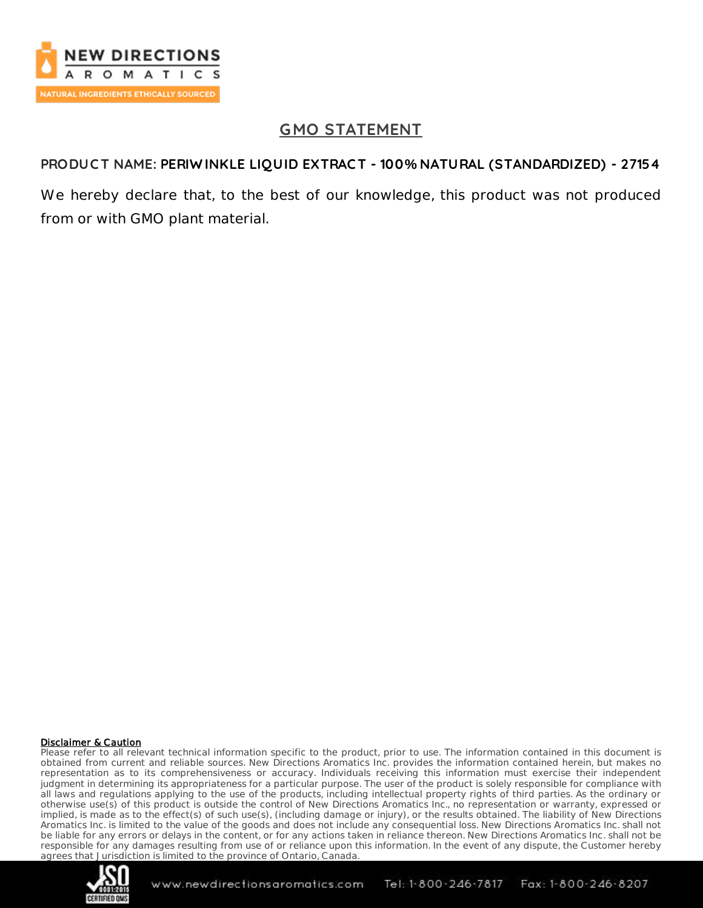

# **GMO STATEMENT**

## **PRODUC T NAME: PERIW INKLE LIQUID EXTRAC T - 100% NATURAL (STANDARDIZED) - 27154**

We hereby declare that, to the best of our knowledge, this product was not produced from or with GMO plant material.

### Disclaimer & Caution

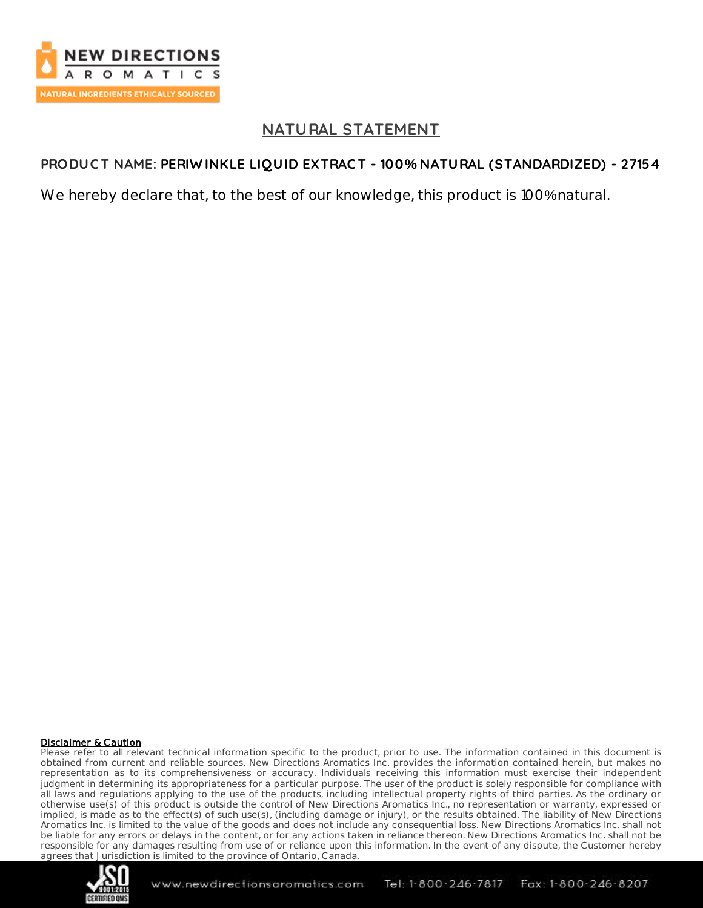

## **NATURAL STATEMENT**

## **PRODUC T NAME: PERIW INKLE LIQUID EXTRAC T - 100% NATURAL (STANDARDIZED) - 27154**

We hereby declare that, to the best of our knowledge, this product is 100% natural.

### Disclaimer & Caution

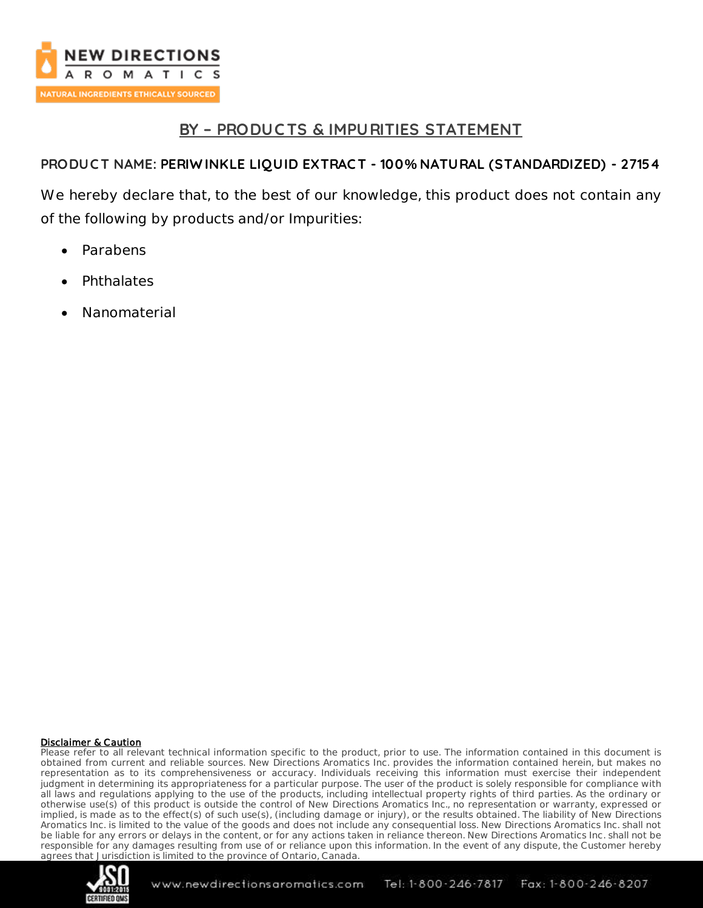

## **BY – PRODUC TS & IMPURITIES STATEMENT**

## **PRODUC T NAME: PERIW INKLE LIQUID EXTRAC T - 100% NATURAL (STANDARDIZED) - 27154**

We hereby declare that, to the best of our knowledge, this product does not contain any of the following by products and/or Impurities:

- Parabens
- **Phthalates**
- Nanomaterial

### Disclaimer & Caution

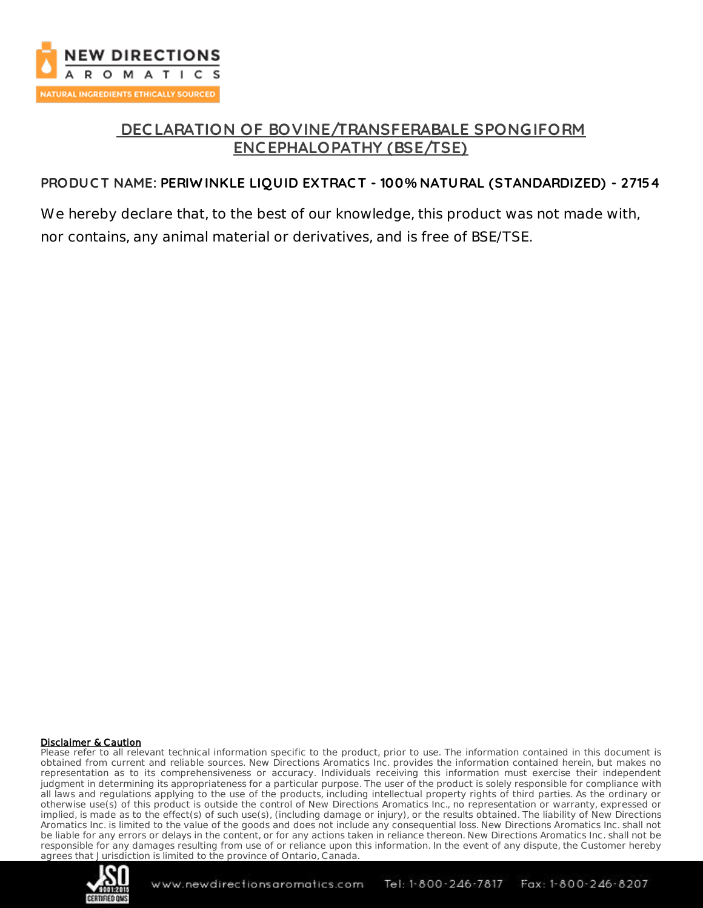

## **DEC LARATION OF BOVINE/TRANSFERABALE SPONGIFORM ENC EPHALOPATHY (BSE/TSE)**

## **PRODUC T NAME: PERIW INKLE LIQUID EXTRAC T - 100% NATURAL (STANDARDIZED) - 27154**

We hereby declare that, to the best of our knowledge, this product was not made with, nor contains, any animal material or derivatives, and is free of BSE/TSE.

#### Disclaimer & Caution

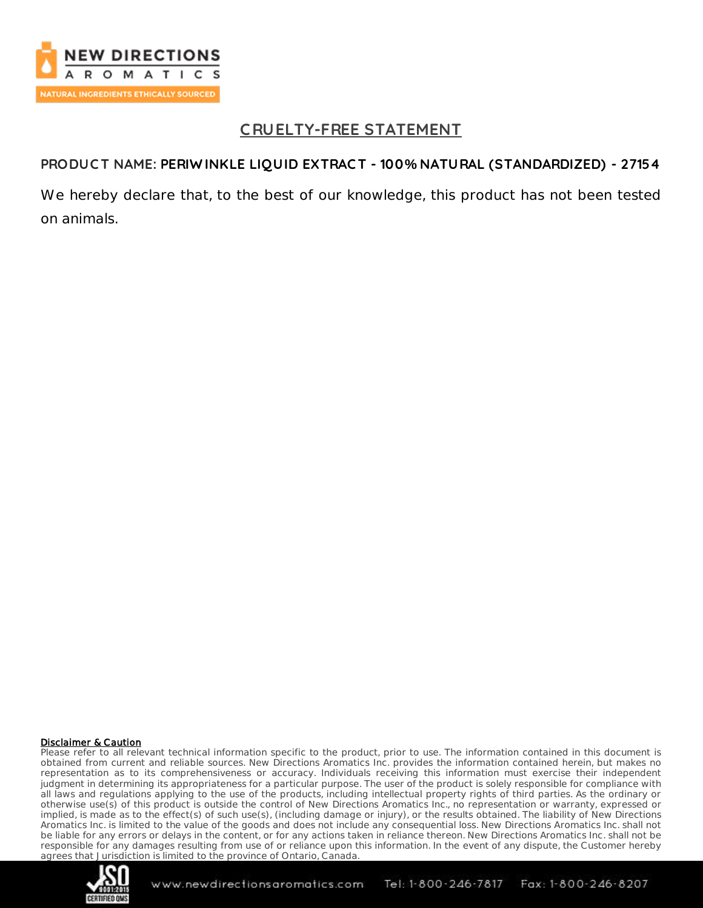

## **C RUELTY-FREE STATEMENT**

## **PRODUC T NAME: PERIW INKLE LIQUID EXTRAC T - 100% NATURAL (STANDARDIZED) - 27154**

We hereby declare that, to the best of our knowledge, this product has not been tested on animals.

#### Disclaimer & Caution

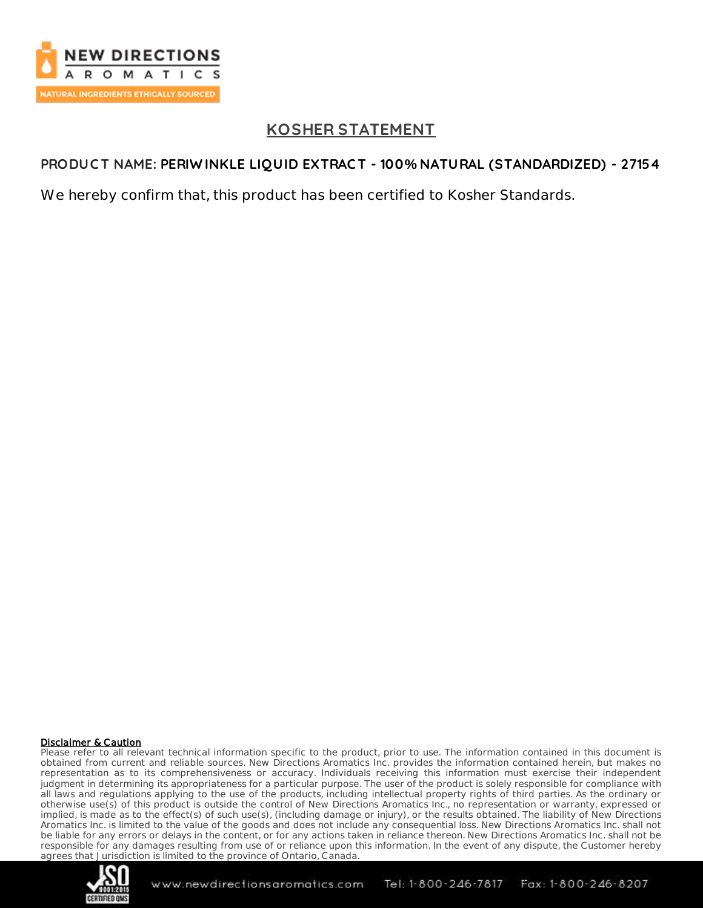

# **KOSHER STATEMENT**

## **PRODUC T NAME: PERIW INKLE LIQUID EXTRAC T - 100% NATURAL (STANDARDIZED) - 27154**

We hereby confirm that, this product has been certified to Kosher Standards.

### Disclaimer & Caution

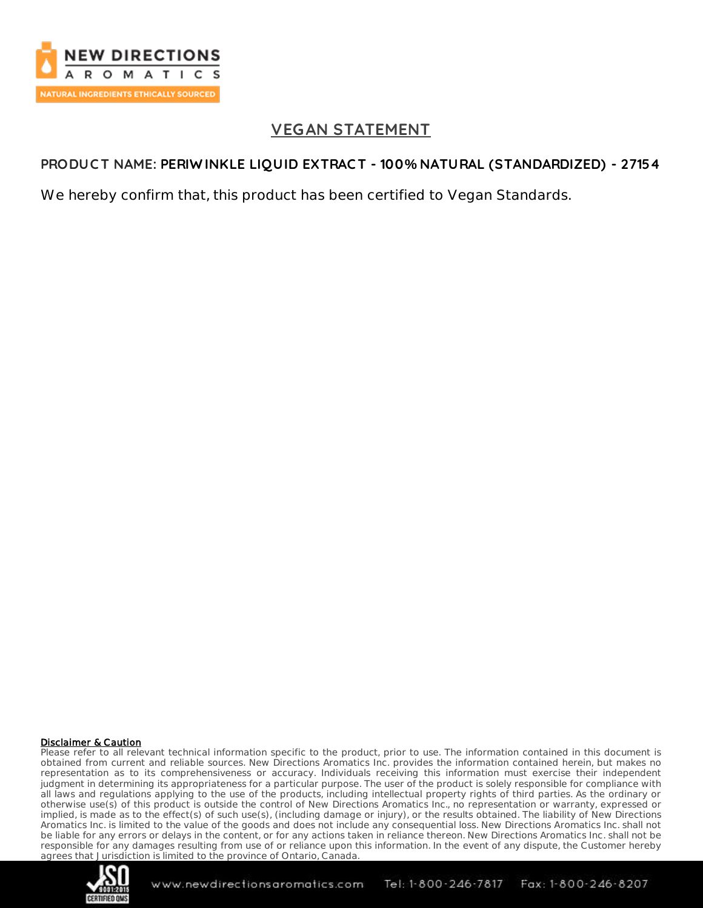

## **VEGAN STATEMENT**

## **PRODUC T NAME: PERIW INKLE LIQUID EXTRAC T - 100% NATURAL (STANDARDIZED) - 27154**

We hereby confirm that, this product has been certified to Vegan Standards.

### Disclaimer & Caution

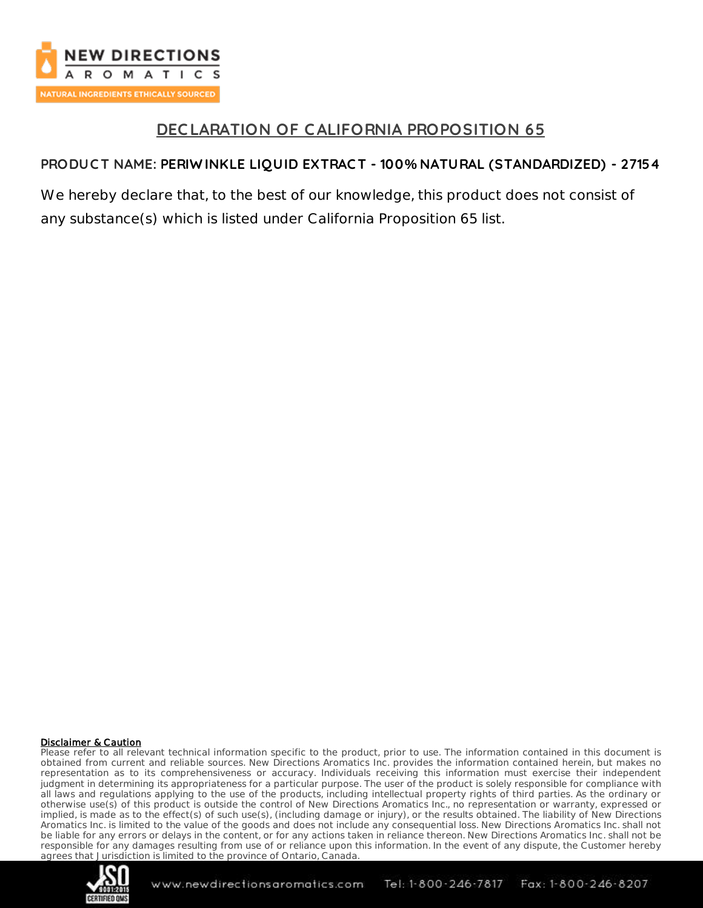

## **DEC LARATION OF CALIFORNIA PROPOSITION 65**

## **PRODUC T NAME: PERIW INKLE LIQUID EXTRAC T - 100% NATURAL (STANDARDIZED) - 27154**

We hereby declare that, to the best of our knowledge, this product does not consist of any substance(s) which is listed under California Proposition 65 list.

### Disclaimer & Caution